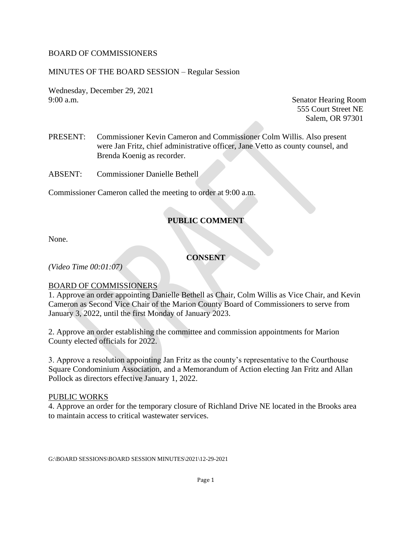### BOARD OF COMMISSIONERS

### MINUTES OF THE BOARD SESSION – Regular Session

Wednesday, December 29, 2021 9:00 a.m. Senator Hearing Room

555 Court Street NE Salem, OR 97301

PRESENT: Commissioner Kevin Cameron and Commissioner Colm Willis. Also present were Jan Fritz, chief administrative officer, Jane Vetto as county counsel, and Brenda Koenig as recorder.

ABSENT: Commissioner Danielle Bethell

Commissioner Cameron called the meeting to order at 9:00 a.m.

# **PUBLIC COMMENT**

None.

**CONSENT**

*(Video Time 00:01:07)*

### BOARD OF COMMISSIONERS

1. Approve an order appointing Danielle Bethell as Chair, Colm Willis as Vice Chair, and Kevin Cameron as Second Vice Chair of the Marion County Board of Commissioners to serve from January 3, 2022, until the first Monday of January 2023.

2. Approve an order establishing the committee and commission appointments for Marion County elected officials for 2022.

3. Approve a resolution appointing Jan Fritz as the county's representative to the Courthouse Square Condominium Association, and a Memorandum of Action electing Jan Fritz and Allan Pollock as directors effective January 1, 2022.

#### PUBLIC WORKS

4. Approve an order for the temporary closure of Richland Drive NE located in the Brooks area to maintain access to critical wastewater services.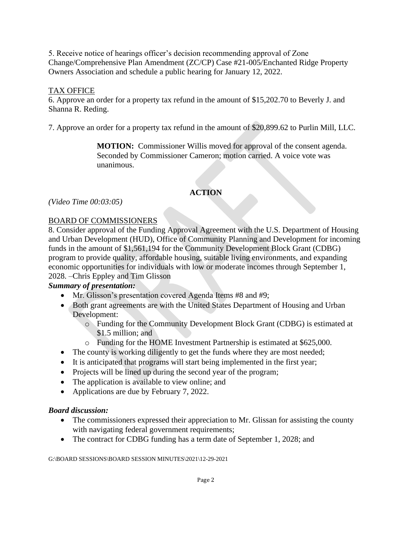5. Receive notice of hearings officer's decision recommending approval of Zone Change/Comprehensive Plan Amendment (ZC/CP) Case #21-005/Enchanted Ridge Property Owners Association and schedule a public hearing for January 12, 2022.

## TAX OFFICE

6. Approve an order for a property tax refund in the amount of \$15,202.70 to Beverly J. and Shanna R. Reding.

7. Approve an order for a property tax refund in the amount of \$20,899.62 to Purlin Mill, LLC.

**MOTION:** Commissioner Willis moved for approval of the consent agenda. Seconded by Commissioner Cameron; motion carried. A voice vote was unanimous.

# **ACTION**

*(Video Time 00:03:05)*

## BOARD OF COMMISSIONERS

8. Consider approval of the Funding Approval Agreement with the U.S. Department of Housing and Urban Development (HUD), Office of Community Planning and Development for incoming funds in the amount of \$1,561,194 for the Community Development Block Grant (CDBG) program to provide quality, affordable housing, suitable living environments, and expanding economic opportunities for individuals with low or moderate incomes through September 1, 2028. –Chris Eppley and Tim Glisson

# *Summary of presentation:*

- Mr. Glisson's presentation covered Agenda Items #8 and #9;
- Both grant agreements are with the United States Department of Housing and Urban Development:
	- o Funding for the Community Development Block Grant (CDBG) is estimated at \$1.5 million; and
	- o Funding for the HOME Investment Partnership is estimated at \$625,000.
- The county is working diligently to get the funds where they are most needed;
- It is anticipated that programs will start being implemented in the first year;
- Projects will be lined up during the second year of the program;
- The application is available to view online; and
- Applications are due by February 7, 2022.

## *Board discussion:*

- The commissioners expressed their appreciation to Mr. Glissan for assisting the county with navigating federal government requirements;
- The contract for CDBG funding has a term date of September 1, 2028; and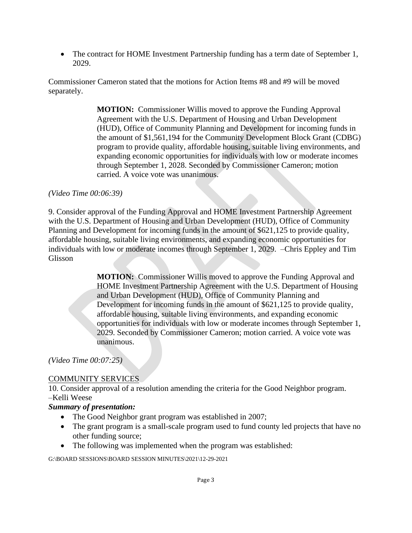• The contract for HOME Investment Partnership funding has a term date of September 1, 2029.

Commissioner Cameron stated that the motions for Action Items #8 and #9 will be moved separately.

> **MOTION:** Commissioner Willis moved to approve the Funding Approval Agreement with the U.S. Department of Housing and Urban Development (HUD), Office of Community Planning and Development for incoming funds in the amount of \$1,561,194 for the Community Development Block Grant (CDBG) program to provide quality, affordable housing, suitable living environments, and expanding economic opportunities for individuals with low or moderate incomes through September 1, 2028. Seconded by Commissioner Cameron; motion carried. A voice vote was unanimous.

### *(Video Time 00:06:39)*

9. Consider approval of the Funding Approval and HOME Investment Partnership Agreement with the U.S. Department of Housing and Urban Development (HUD), Office of Community Planning and Development for incoming funds in the amount of \$621,125 to provide quality, affordable housing, suitable living environments, and expanding economic opportunities for individuals with low or moderate incomes through September 1, 2029. –Chris Eppley and Tim Glisson

> **MOTION:** Commissioner Willis moved to approve the Funding Approval and HOME Investment Partnership Agreement with the U.S. Department of Housing and Urban Development (HUD), Office of Community Planning and Development for incoming funds in the amount of \$621,125 to provide quality, affordable housing, suitable living environments, and expanding economic opportunities for individuals with low or moderate incomes through September 1, 2029. Seconded by Commissioner Cameron; motion carried. A voice vote was unanimous.

*(Video Time 00:07:25)*

### COMMUNITY SERVICES

10. Consider approval of a resolution amending the criteria for the Good Neighbor program. –Kelli Weese

### *Summary of presentation:*

- The Good Neighbor grant program was established in 2007;
- The grant program is a small-scale program used to fund county led projects that have no other funding source;
- The following was implemented when the program was established: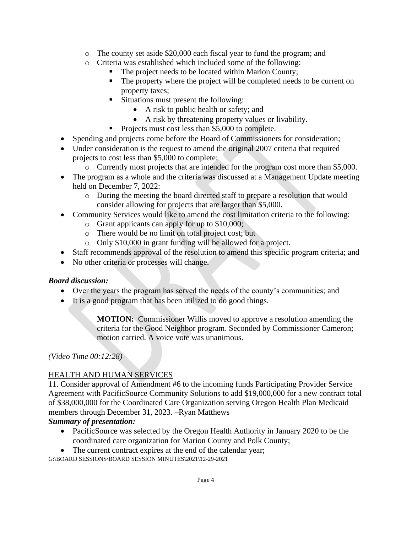- o The county set aside \$20,000 each fiscal year to fund the program; and
- o Criteria was established which included some of the following:
	- The project needs to be located within Marion County;
	- The property where the project will be completed needs to be current on property taxes;
	- Situations must present the following:
		- A risk to public health or safety; and
		- A risk by threatening property values or livability.
	- Projects must cost less than \$5,000 to complete.
- Spending and projects come before the Board of Commissioners for consideration;
- Under consideration is the request to amend the original 2007 criteria that required projects to cost less than \$5,000 to complete:
	- o Currently most projects that are intended for the program cost more than \$5,000.
- The program as a whole and the criteria was discussed at a Management Update meeting held on December 7, 2022:
	- o During the meeting the board directed staff to prepare a resolution that would consider allowing for projects that are larger than \$5,000.
- Community Services would like to amend the cost limitation criteria to the following:
	- o Grant applicants can apply for up to \$10,000;
	- o There would be no limit on total project cost; but
	- o Only \$10,000 in grant funding will be allowed for a project.
- Staff recommends approval of the resolution to amend this specific program criteria; and
- No other criteria or processes will change.

# *Board discussion:*

- Over the years the program has served the needs of the county's communities; and
- It is a good program that has been utilized to do good things.

**MOTION:** Commissioner Willis moved to approve a resolution amending the criteria for the Good Neighbor program. Seconded by Commissioner Cameron; motion carried. A voice vote was unanimous.

*(Video Time 00:12:28)*

# HEALTH AND HUMAN SERVICES

11. Consider approval of Amendment #6 to the incoming funds Participating Provider Service Agreement with PacificSource Community Solutions to add \$19,000,000 for a new contract total of \$38,000,000 for the Coordinated Care Organization serving Oregon Health Plan Medicaid members through December 31, 2023. –Ryan Matthews

# *Summary of presentation:*

- PacificSource was selected by the Oregon Health Authority in January 2020 to be the coordinated care organization for Marion County and Polk County;
- The current contract expires at the end of the calendar year;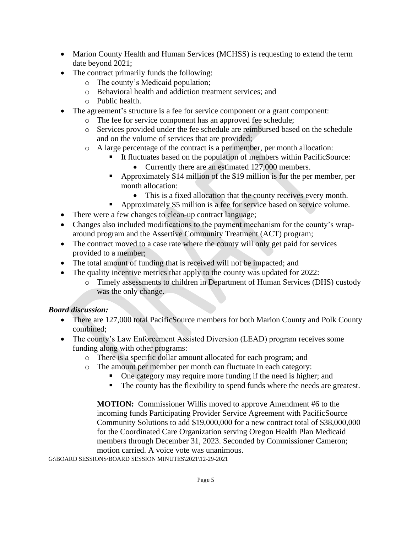- Marion County Health and Human Services (MCHSS) is requesting to extend the term date beyond 2021;
- The contract primarily funds the following:
	- o The county's Medicaid population;
	- o Behavioral health and addiction treatment services; and
	- o Public health.
- The agreement's structure is a fee for service component or a grant component:
	- o The fee for service component has an approved fee schedule;
	- o Services provided under the fee schedule are reimbursed based on the schedule and on the volume of services that are provided;
	- o A large percentage of the contract is a per member, per month allocation:
		- It fluctuates based on the population of members within PacificSource:
			- Currently there are an estimated 127,000 members.
		- Approximately \$14 million of the \$19 million is for the per member, per month allocation:
			- This is a fixed allocation that the county receives every month.
			- Approximately \$5 million is a fee for service based on service volume.
- There were a few changes to clean-up contract language;
- Changes also included modifications to the payment mechanism for the county's wraparound program and the Assertive Community Treatment (ACT) program;
- The contract moved to a case rate where the county will only get paid for services provided to a member;
- The total amount of funding that is received will not be impacted; and
- The quality incentive metrics that apply to the county was updated for 2022:
	- o Timely assessments to children in Department of Human Services (DHS) custody was the only change.

# *Board discussion:*

- There are 127,000 total PacificSource members for both Marion County and Polk County combined;
- The county's Law Enforcement Assisted Diversion (LEAD) program receives some funding along with other programs:
	- o There is a specific dollar amount allocated for each program; and
	- o The amount per member per month can fluctuate in each category:
		- One category may require more funding if the need is higher; and
		- The county has the flexibility to spend funds where the needs are greatest.

**MOTION:** Commissioner Willis moved to approve Amendment #6 to the incoming funds Participating Provider Service Agreement with PacificSource Community Solutions to add \$19,000,000 for a new contract total of \$38,000,000 for the Coordinated Care Organization serving Oregon Health Plan Medicaid members through December 31, 2023. Seconded by Commissioner Cameron; motion carried. A voice vote was unanimous.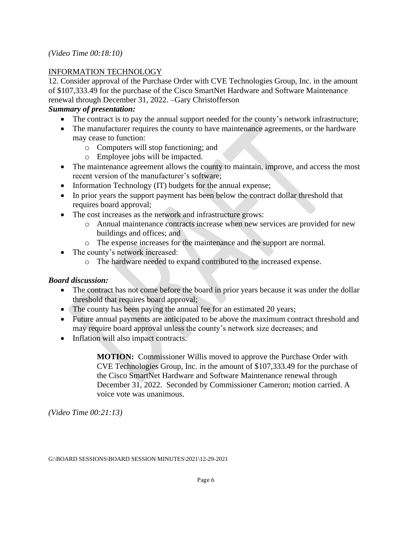### *(Video Time 00:18:10)*

## INFORMATION TECHNOLOGY

12. Consider approval of the Purchase Order with CVE Technologies Group, Inc. in the amount of \$107,333.49 for the purchase of the Cisco SmartNet Hardware and Software Maintenance renewal through December 31, 2022. –Gary Christofferson

## *Summary of presentation:*

- The contract is to pay the annual support needed for the county's network infrastructure;
- The manufacturer requires the county to have maintenance agreements, or the hardware may cease to function:
	- o Computers will stop functioning; and
	- o Employee jobs will be impacted.
- The maintenance agreement allows the county to maintain, improve, and access the most recent version of the manufacturer's software;
- Information Technology (IT) budgets for the annual expense;
- In prior years the support payment has been below the contract dollar threshold that requires board approval;
- The cost increases as the network and infrastructure grows:
	- o Annual maintenance contracts increase when new services are provided for new buildings and offices; and
	- o The expense increases for the maintenance and the support are normal.
- The county's network increased:
	- o The hardware needed to expand contributed to the increased expense.

## *Board discussion:*

- The contract has not come before the board in prior years because it was under the dollar threshold that requires board approval;
- The county has been paying the annual fee for an estimated 20 years;
- Future annual payments are anticipated to be above the maximum contract threshold and may require board approval unless the county's network size decreases; and
- Inflation will also impact contracts.

**MOTION:** Commissioner Willis moved to approve the Purchase Order with CVE Technologies Group, Inc. in the amount of \$107,333.49 for the purchase of the Cisco SmartNet Hardware and Software Maintenance renewal through December 31, 2022. Seconded by Commissioner Cameron; motion carried. A voice vote was unanimous.

*(Video Time 00:21:13)*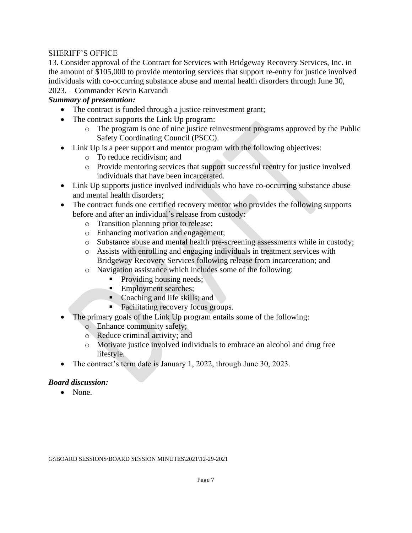### SHERIFF'S OFFICE

13. Consider approval of the Contract for Services with Bridgeway Recovery Services, Inc. in the amount of \$105,000 to provide mentoring services that support re-entry for justice involved individuals with co-occurring substance abuse and mental health disorders through June 30, 2023. –Commander Kevin Karvandi

### *Summary of presentation:*

- The contract is funded through a justice reinvestment grant;
- The contract supports the Link Up program:
	- o The program is one of nine justice reinvestment programs approved by the Public Safety Coordinating Council (PSCC).
- Link Up is a peer support and mentor program with the following objectives:
	- o To reduce recidivism; and
	- o Provide mentoring services that support successful reentry for justice involved individuals that have been incarcerated.
- Link Up supports justice involved individuals who have co-occurring substance abuse and mental health disorders;
- The contract funds one certified recovery mentor who provides the following supports before and after an individual's release from custody:
	- o Transition planning prior to release;
	- o Enhancing motivation and engagement;
	- o Substance abuse and mental health pre-screening assessments while in custody;
	- o Assists with enrolling and engaging individuals in treatment services with Bridgeway Recovery Services following release from incarceration; and
	- o Navigation assistance which includes some of the following:
		- Providing housing needs;
		- **Employment searches;**
		- Coaching and life skills; and
		- Facilitating recovery focus groups.
- The primary goals of the Link Up program entails some of the following:
	- o Enhance community safety;
	- o Reduce criminal activity; and
	- o Motivate justice involved individuals to embrace an alcohol and drug free lifestyle.
- The contract's term date is January 1, 2022, through June 30, 2023.

### *Board discussion:*

• None.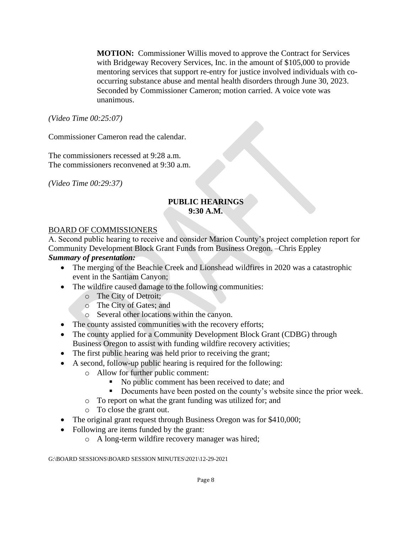**MOTION:** Commissioner Willis moved to approve the Contract for Services with Bridgeway Recovery Services, Inc. in the amount of \$105,000 to provide mentoring services that support re-entry for justice involved individuals with cooccurring substance abuse and mental health disorders through June 30, 2023. Seconded by Commissioner Cameron; motion carried. A voice vote was unanimous.

*(Video Time 00:25:07)*

Commissioner Cameron read the calendar.

The commissioners recessed at 9:28 a.m. The commissioners reconvened at 9:30 a.m.

*(Video Time 00:29:37)*

## **PUBLIC HEARINGS 9:30 A.M.**

### BOARD OF COMMISSIONERS

A. Second public hearing to receive and consider Marion County's project completion report for Community Development Block Grant Funds from Business Oregon. –Chris Eppley *Summary of presentation:* 

- The merging of the Beachie Creek and Lionshead wildfires in 2020 was a catastrophic event in the Santiam Canyon;
- The wildfire caused damage to the following communities:
	- o The City of Detroit;
	- o The City of Gates; and
	- o Several other locations within the canyon.
- The county assisted communities with the recovery efforts;
- The county applied for a Community Development Block Grant (CDBG) through Business Oregon to assist with funding wildfire recovery activities;
- The first public hearing was held prior to receiving the grant;
- A second, follow-up public hearing is required for the following:
	- o Allow for further public comment:
		- No public comment has been received to date; and
		- **•** Documents have been posted on the county's website since the prior week.
		- o To report on what the grant funding was utilized for; and
		- o To close the grant out.
- The original grant request through Business Oregon was for \$410,000;
- Following are items funded by the grant:
	- o A long-term wildfire recovery manager was hired;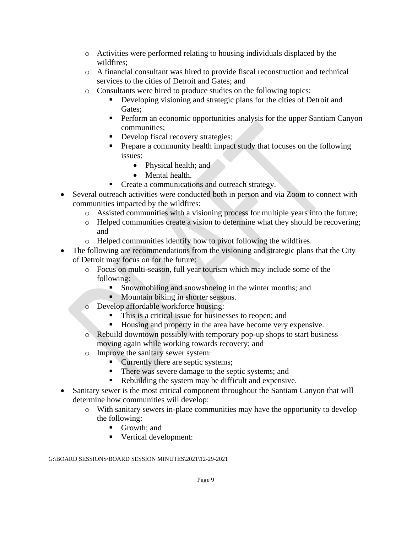- o Activities were performed relating to housing individuals displaced by the wildfires;
- o A financial consultant was hired to provide fiscal reconstruction and technical services to the cities of Detroit and Gates; and
- o Consultants were hired to produce studies on the following topics:
	- **•** Developing visioning and strategic plans for the cities of Detroit and Gates;
	- **•** Perform an economic opportunities analysis for the upper Santiam Canyon communities;
	- **•** Develop fiscal recovery strategies;
	- **•** Prepare a community health impact study that focuses on the following issues:
		- Physical health; and
		- Mental health.
	- Create a communications and outreach strategy.
- Several outreach activities were conducted both in person and via Zoom to connect with communities impacted by the wildfires:
	- o Assisted communities with a visioning process for multiple years into the future;
	- o Helped communities create a vision to determine what they should be recovering; and
	- o Helped communities identify how to pivot following the wildfires.
- The following are recommendations from the visioning and strategic plans that the City of Detroit may focus on for the future:
	- o Focus on multi-season, full year tourism which may include some of the following:
		- **•** Snowmobiling and snowshoeing in the winter months; and
		- Mountain biking in shorter seasons.
	- o Develop affordable workforce housing:
		- This is a critical issue for businesses to reopen; and
		- Housing and property in the area have become very expensive.
	- o Rebuild downtown possibly with temporary pop-up shops to start business moving again while working towards recovery; and
	- o Improve the sanitary sewer system:
		- Currently there are septic systems;
		- **There was severe damage to the septic systems; and**
		- Rebuilding the system may be difficult and expensive.
- Sanitary sewer is the most critical component throughout the Santiam Canyon that will determine how communities will develop:
	- o With sanitary sewers in-place communities may have the opportunity to develop the following:
		- Growth; and
		- Vertical development: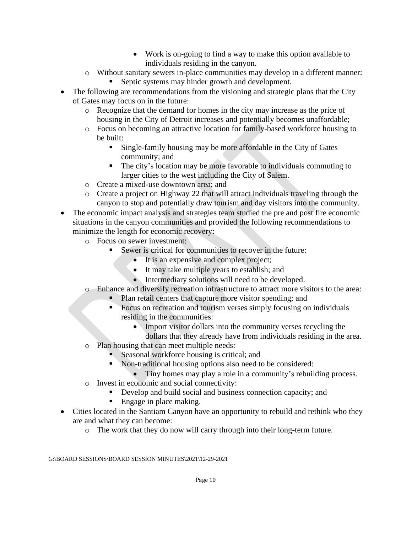- Work is on-going to find a way to make this option available to individuals residing in the canyon.
- o Without sanitary sewers in-place communities may develop in a different manner:
	- Septic systems may hinder growth and development.
- The following are recommendations from the visioning and strategic plans that the City of Gates may focus on in the future:
	- o Recognize that the demand for homes in the city may increase as the price of housing in the City of Detroit increases and potentially becomes unaffordable;
	- o Focus on becoming an attractive location for family-based workforce housing to be built:
		- **Example-family housing may be more affordable in the City of Gates** community; and
		- The city's location may be more favorable to individuals commuting to larger cities to the west including the City of Salem.
	- o Create a mixed-use downtown area; and
	- o Create a project on Highway 22 that will attract individuals traveling through the canyon to stop and potentially draw tourism and day visitors into the community.
- The economic impact analysis and strategies team studied the pre and post fire economic situations in the canyon communities and provided the following recommendations to minimize the length for economic recovery:
	- o Focus on sewer investment:
		- Sewer is critical for communities to recover in the future:
			- It is an expensive and complex project;
			- It may take multiple years to establish; and
			- Intermediary solutions will need to be developed.
	- o Enhance and diversify recreation infrastructure to attract more visitors to the area:
		- Plan retail centers that capture more visitor spending; and
		- Focus on recreation and tourism verses simply focusing on individuals residing in the communities:
			- Import visitor dollars into the community verses recycling the dollars that they already have from individuals residing in the area.
	- o Plan housing that can meet multiple needs:
		- Seasonal workforce housing is critical; and
		- Non-traditional housing options also need to be considered:
			- Tiny homes may play a role in a community's rebuilding process.
	- o Invest in economic and social connectivity:
		- Develop and build social and business connection capacity; and
		- Engage in place making.
- Cities located in the Santiam Canyon have an opportunity to rebuild and rethink who they are and what they can become:
	- o The work that they do now will carry through into their long-term future.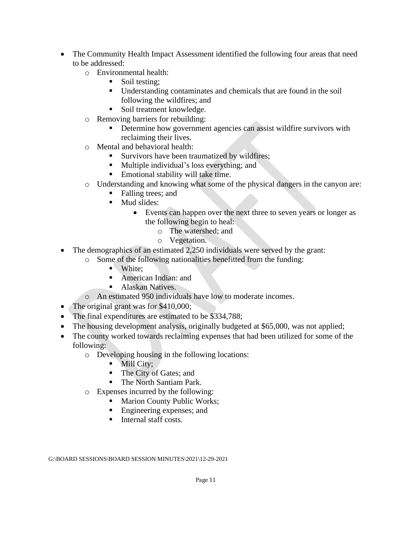- The Community Health Impact Assessment identified the following four areas that need to be addressed:
	- o Environmental health:
		- Soil testing:
		- Understanding contaminates and chemicals that are found in the soil following the wildfires; and
		- Soil treatment knowledge.
	- o Removing barriers for rebuilding:
		- **•** Determine how government agencies can assist wildfire survivors with reclaiming their lives.
	- o Mental and behavioral health:
		- **EXECUTE:** Survivors have been traumatized by wildfires;
		- Multiple individual's loss everything; and
		- Emotional stability will take time.
	- o Understanding and knowing what some of the physical dangers in the canyon are:
		- Falling trees; and
		- Mud slides:
			- Events can happen over the next three to seven years or longer as the following begin to heal:
				- o The watershed; and
				- o Vegetation.
- The demographics of an estimated 2,250 individuals were served by the grant:
	- o Some of the following nationalities benefitted from the funding:
		- White:
		- American Indian: and
		- Alaskan Natives.
	- o An estimated 950 individuals have low to moderate incomes.
- The original grant was for \$410,000;
- The final expenditures are estimated to be \$334,788;
- The housing development analysis, originally budgeted at \$65,000, was not applied;
- The county worked towards reclaiming expenses that had been utilized for some of the following:
	- o Developing housing in the following locations:
		- **■** Mill City;
		- The City of Gates; and
		- The North Santiam Park.
	- o Expenses incurred by the following:
		- Marion County Public Works;
		- Engineering expenses; and
		- Internal staff costs.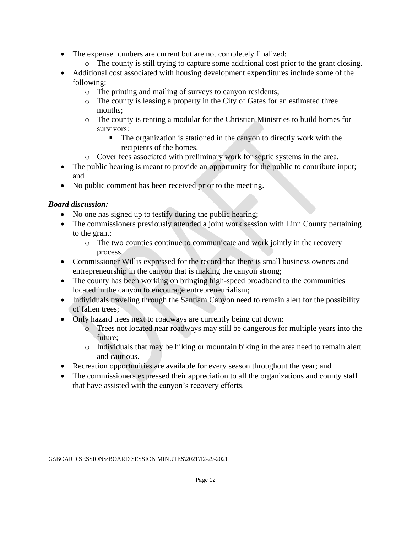- The expense numbers are current but are not completely finalized:
	- o The county is still trying to capture some additional cost prior to the grant closing.
- Additional cost associated with housing development expenditures include some of the following:
	- o The printing and mailing of surveys to canyon residents;
	- o The county is leasing a property in the City of Gates for an estimated three months;
	- o The county is renting a modular for the Christian Ministries to build homes for survivors:
		- The organization is stationed in the canyon to directly work with the recipients of the homes.
	- o Cover fees associated with preliminary work for septic systems in the area.
- The public hearing is meant to provide an opportunity for the public to contribute input; and
- No public comment has been received prior to the meeting.

## *Board discussion:*

- No one has signed up to testify during the public hearing;
- The commissioners previously attended a joint work session with Linn County pertaining to the grant:
	- o The two counties continue to communicate and work jointly in the recovery process.
- Commissioner Willis expressed for the record that there is small business owners and entrepreneurship in the canyon that is making the canyon strong;
- The county has been working on bringing high-speed broadband to the communities located in the canyon to encourage entrepreneurialism;
- Individuals traveling through the Santiam Canyon need to remain alert for the possibility of fallen trees;
- Only hazard trees next to roadways are currently being cut down:
	- o Trees not located near roadways may still be dangerous for multiple years into the future;
	- o Individuals that may be hiking or mountain biking in the area need to remain alert and cautious.
- Recreation opportunities are available for every season throughout the year; and
- The commissioners expressed their appreciation to all the organizations and county staff that have assisted with the canyon's recovery efforts.